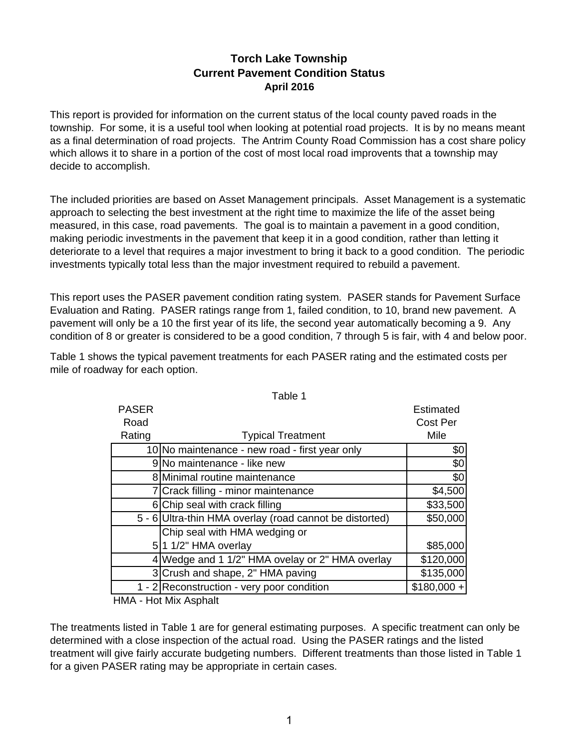# **Torch Lake Township Current Pavement Condition Status April 2016**

This report is provided for information on the current status of the local county paved roads in the township. For some, it is a useful tool when looking at potential road projects. It is by no means meant as a final determination of road projects. The Antrim County Road Commission has a cost share policy which allows it to share in a portion of the cost of most local road improvents that a township may decide to accomplish.

The included priorities are based on Asset Management principals. Asset Management is a systematic approach to selecting the best investment at the right time to maximize the life of the asset being measured, in this case, road pavements. The goal is to maintain a pavement in a good condition, making periodic investments in the pavement that keep it in a good condition, rather than letting it deteriorate to a level that requires a major investment to bring it back to a good condition. The periodic investments typically total less than the major investment required to rebuild a pavement.

This report uses the PASER pavement condition rating system. PASER stands for Pavement Surface Evaluation and Rating. PASER ratings range from 1, failed condition, to 10, brand new pavement. A pavement will only be a 10 the first year of its life, the second year automatically becoming a 9. Any condition of 8 or greater is considered to be a good condition, 7 through 5 is fair, with 4 and below poor.

|              | rabie i                                                 |              |
|--------------|---------------------------------------------------------|--------------|
| <b>PASER</b> |                                                         | Estimated    |
| Road         |                                                         | Cost Per     |
| Rating       | <b>Typical Treatment</b>                                | Mile         |
|              | 10 No maintenance - new road - first year only          | \$0          |
|              | 9 No maintenance - like new                             | \$0          |
|              | 8 Minimal routine maintenance                           | \$0          |
|              | 7 Crack filling - minor maintenance                     | \$4,500      |
|              | 6 Chip seal with crack filling                          | \$33,500     |
|              | 5 - 6 Ultra-thin HMA overlay (road cannot be distorted) | \$50,000     |
|              | Chip seal with HMA wedging or                           |              |
|              | 5 1 1/2" HMA overlay                                    | \$85,000     |
| 4            | Wedge and 1 1/2" HMA ovelay or 2" HMA overlay           | \$120,000    |
|              | 3 Crush and shape, 2" HMA paving                        | \$135,000    |
|              | 1 - 2 Reconstruction - very poor condition              | $$180,000 +$ |
|              |                                                         |              |

Table 1 shows the typical pavement treatments for each PASER rating and the estimated costs per mile of roadway for each option.

Table 1

HMA - Hot Mix Asphalt

The treatments listed in Table 1 are for general estimating purposes. A specific treatment can only be determined with a close inspection of the actual road. Using the PASER ratings and the listed treatment will give fairly accurate budgeting numbers. Different treatments than those listed in Table 1 for a given PASER rating may be appropriate in certain cases.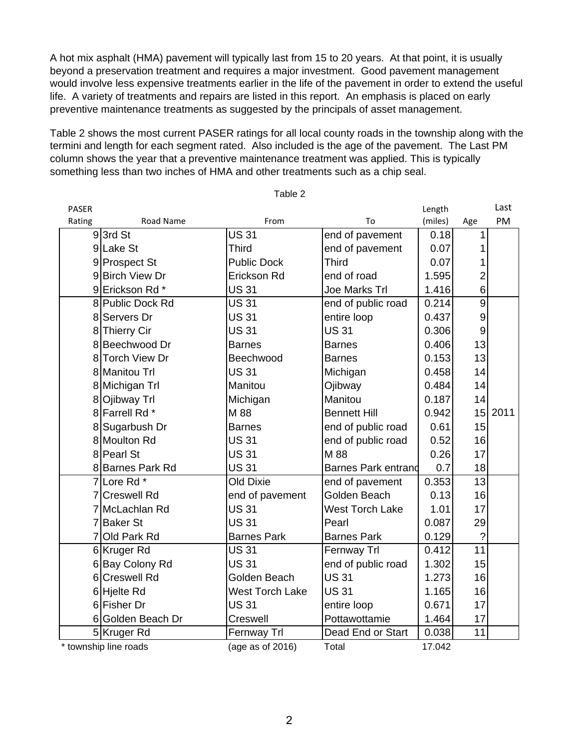A hot mix asphalt (HMA) pavement will typically last from 15 to 20 years. At that point, it is usually beyond a preservation treatment and requires a major investment. Good pavement management would involve less expensive treatments earlier in the life of the pavement in order to extend the useful life. A variety of treatments and repairs are listed in this report. An emphasis is placed on early preventive maintenance treatments as suggested by the principals of asset management.

Table 2 shows the most current PASER ratings for all local county roads in the township along with the termini and length for each segment rated. Also included is the age of the pavement. The Last PM column shows the year that a preventive maintenance treatment was applied. This is typically something less than two inches of HMA and other treatments such as a chip seal.

| <b>PASER</b> |                       |                    |                            | Length  |                 | Last |
|--------------|-----------------------|--------------------|----------------------------|---------|-----------------|------|
| Rating       | Road Name             | From               | To                         | (miles) | Age             | PM   |
|              | 93rd St               | <b>US 31</b>       | end of pavement            | 0.18    | 1               |      |
|              | 9Lake St              | Third              | end of pavement            | 0.07    |                 |      |
|              | 9 Prospect St         | <b>Public Dock</b> | <b>Third</b>               | 0.07    |                 |      |
|              | 9Birch View Dr        | Erickson Rd        | end of road                | 1.595   | 2               |      |
|              | 9Erickson Rd *        | <b>US31</b>        | Joe Marks Trl              | 1.416   | 6               |      |
|              | 8 Public Dock Rd      | <b>US31</b>        | end of public road         | 0.214   | 9               |      |
|              | 8 Servers Dr          | <b>US31</b>        | entire loop                | 0.437   | 9               |      |
|              | 8 Thierry Cir         | <b>US31</b>        | <b>US31</b>                | 0.306   | 9               |      |
|              | 8 Beechwood Dr        | <b>Barnes</b>      | <b>Barnes</b>              | 0.406   | 13              |      |
|              | 8 Torch View Dr       | Beechwood          | <b>Barnes</b>              | 0.153   | 13              |      |
|              | 8 Manitou Trl         | <b>US31</b>        | Michigan                   | 0.458   | 14              |      |
|              | 8 Michigan Trl        | Manitou            | Ojibway                    | 0.484   | 14              |      |
|              | 8 Ojibway Trl         | Michigan           | Manitou                    | 0.187   | 14              |      |
|              | 8 Farrell Rd *        | M 88               | <b>Bennett Hill</b>        | 0.942   | 15              | 2011 |
|              | 8 Sugarbush Dr        | <b>Barnes</b>      | end of public road         | 0.61    | 15              |      |
|              | 8 Moulton Rd          | <b>US31</b>        | end of public road         | 0.52    | 16              |      |
|              | 8 Pearl St            | <b>US31</b>        | M 88                       | 0.26    | 17              |      |
|              | 8 Barnes Park Rd      | <b>US31</b>        | <b>Barnes Park entrand</b> | 0.7     | 18              |      |
|              | 7Lore Rd *            | <b>Old Dixie</b>   | end of pavement            | 0.353   | 13              |      |
|              | 7 Creswell Rd         | end of pavement    | Golden Beach               | 0.13    | 16              |      |
|              | 7 McLachlan Rd        | <b>US31</b>        | <b>West Torch Lake</b>     | 1.01    | 17              |      |
|              | 7 Baker St            | <b>US31</b>        | Pearl                      | 0.087   | 29              |      |
|              | 7 Old Park Rd         | <b>Barnes Park</b> | <b>Barnes Park</b>         | 0.129   | $\gamma$        |      |
|              | 6 Kruger Rd           | <b>US31</b>        | Fernway Trl                | 0.412   | 11              |      |
|              | 6 Bay Colony Rd       | <b>US31</b>        | end of public road         | 1.302   | 15              |      |
|              | 6 Creswell Rd         | Golden Beach       | <b>US31</b>                | 1.273   | 16              |      |
|              | 6Hjelte Rd            | West Torch Lake    | <b>US31</b>                | 1.165   | 16              |      |
|              | 6 Fisher Dr           | <b>US31</b>        | entire loop                | 0.671   | 17              |      |
|              | 6 Golden Beach Dr     | Creswell           | Pottawottamie              | 1.464   | 17              |      |
|              | 5Kruger Rd            | Fernway Trl        | Dead End or Start          | 0.038   | $\overline{11}$ |      |
|              | * township line roads | (age as of 2016)   | Total                      | 17.042  |                 |      |

Table 2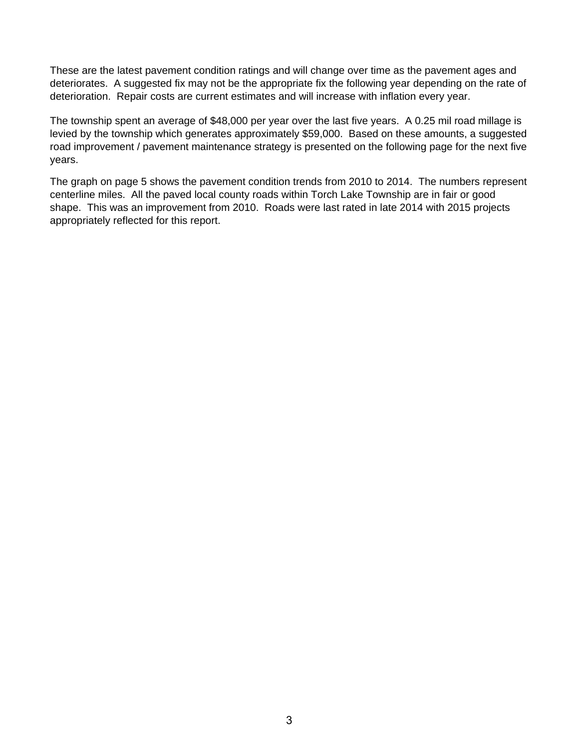These are the latest pavement condition ratings and will change over time as the pavement ages and deteriorates. A suggested fix may not be the appropriate fix the following year depending on the rate of deterioration. Repair costs are current estimates and will increase with inflation every year.

The township spent an average of \$48,000 per year over the last five years. A 0.25 mil road millage is levied by the township which generates approximately \$59,000. Based on these amounts, a suggested road improvement / pavement maintenance strategy is presented on the following page for the next five years.

The graph on page 5 shows the pavement condition trends from 2010 to 2014. The numbers represent centerline miles. All the paved local county roads within Torch Lake Township are in fair or good shape. This was an improvement from 2010. Roads were last rated in late 2014 with 2015 projects appropriately reflected for this report.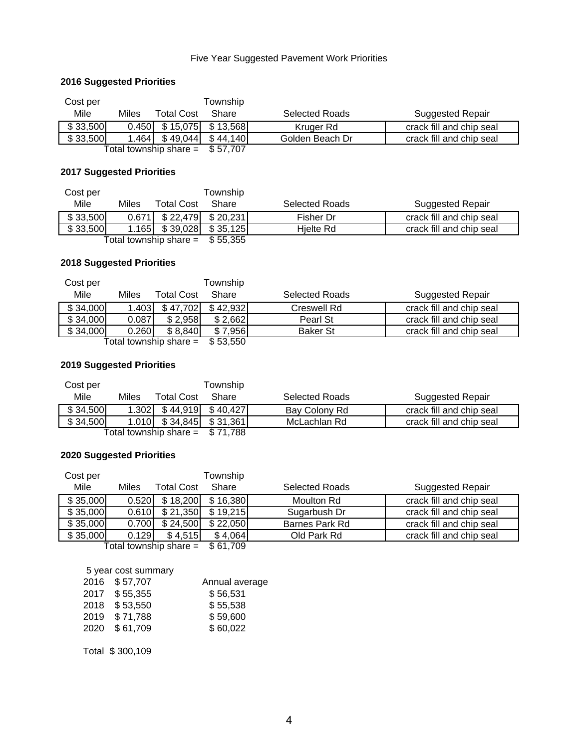## Five Year Suggested Pavement Work Priorities

## **2016 Suggested Priorities**

| Cost per |       |                                   | Township |                       |                          |
|----------|-------|-----------------------------------|----------|-----------------------|--------------------------|
| Mile     | Miles | <b>Total Cost</b>                 | Share    | <b>Selected Roads</b> | <b>Suggested Repair</b>  |
| \$33,500 |       | $0.450$ \ \$15,075 \ \$13,568 \   |          | Kruger Rd             | crack fill and chip seal |
| \$33,500 |       | $1.464$ $$49,044$ $$44,140$       |          | Golden Beach Dr       | crack fill and chip seal |
|          |       | Total township share $=$ \$57,707 |          |                       |                          |

## **2017 Suggested Priorities**

| Cost per |       |                                  | Township |                       |                          |
|----------|-------|----------------------------------|----------|-----------------------|--------------------------|
| Mile     | Miles | <b>Total Cost</b>                | Share    | <b>Selected Roads</b> | Suggested Repair         |
| \$33,500 |       | $0.671$ \ \$ 22,479 \ \$ 20,231  |          | Fisher Dr             | crack fill and chip seal |
| \$33,500 |       | $1.165$ \ $$39.028$ \ $$35.125$  |          | Hielte Rd             | crack fill and chip seal |
|          |       | Total township share = $$55,355$ |          |                       |                          |

#### **2018 Suggested Priorities**

| Cost per |       |                        | Township        |                       |                          |
|----------|-------|------------------------|-----------------|-----------------------|--------------------------|
| Mile     | Miles | <b>Total Cost</b>      | Share           | <b>Selected Roads</b> | Suggested Repair         |
| \$34,000 | 1.403 | \$47,702               | \$42.932        | Creswell Rd           | crack fill and chip seal |
| \$34,000 | 0.087 | \$2,958                | \$2,662         | Pearl St              | crack fill and chip seal |
| \$34,000 | 0.260 | \$8,840                | \$7,956         | <b>Baker St</b>       | crack fill and chip seal |
|          |       | — Total townshin share | <b>ዩ 53 550</b> |                       |                          |

Total township share  $=$  \$53,550

### **2019 Suggested Priorities**

| Cost per |       |                                  | Township |                       |                          |
|----------|-------|----------------------------------|----------|-----------------------|--------------------------|
| Mile     | Miles | <b>Total Cost</b>                | Share    | <b>Selected Roads</b> | Suggested Repair         |
| \$34,500 | 1.302 | \$44.919                         | \$40.427 | Bay Colony Rd         | crack fill and chip seal |
| \$34,500 | 1.010 | \$34,845                         | \$31,361 | McLachlan Rd          | crack fill and chip seal |
|          |       | Total township share = $$71,788$ |          |                       |                          |

## **2020 Suggested Priorities**

|       |            | Township                                                    |                       |                                             |
|-------|------------|-------------------------------------------------------------|-----------------------|---------------------------------------------|
| Miles | Total Cost | Share                                                       | <b>Selected Roads</b> | <b>Suggested Repair</b>                     |
|       | \$18,200   |                                                             | Moulton Rd            | crack fill and chip seal                    |
|       | \$21,350   |                                                             | Sugarbush Dr          | crack fill and chip seal                    |
|       | \$24,500   |                                                             | Barnes Park Rd        | crack fill and chip seal                    |
|       | \$4,515    |                                                             | Old Park Rd           | crack fill and chip seal                    |
|       |            | 0.520<br>0.610<br>0.700<br>0.129<br>アフィット・レー しょうしきょう しゅうしょう | 0.01700               | \$16,380<br>\$19,215<br>\$22,050<br>\$4,064 |

Total township share  $=$  \$61,709

#### 5 year cost summary

| 2016 | \$57,707 | Annual average |
|------|----------|----------------|
| 2017 | \$55,355 | \$56,531       |
| 2018 | \$53,550 | \$55,538       |
| 2019 | \$71,788 | \$59,600       |
| 2020 | \$61,709 | \$60,022       |
|      |          |                |

Total \$ 300,109